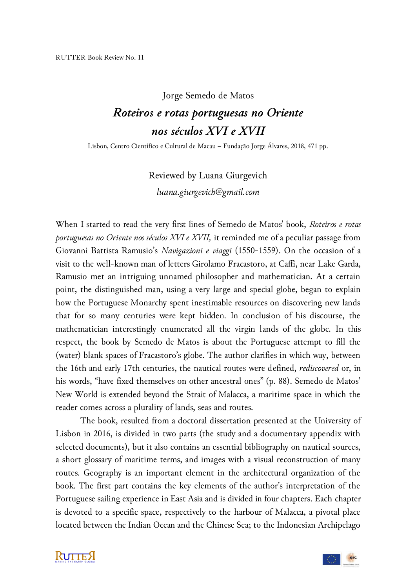## Jorge Semedo de Matos

## *Roteiros e rotas portuguesas no Oriente nos séculos XVI e XVII*

Lisbon, Centro Científico e Cultural de Macau – Fundação Jorge Álvares, 2018, 471 pp.

Reviewed by Luana Giurgevich *luana.giurgevich@gmail.com*

When I started to read the very first lines of Semedo de Matos' book, *Roteiros e rotas portuguesas no Oriente nos séculos XVI e XVII,* it reminded me of a peculiar passage from Giovanni Battista Ramusio's *Navigazioni e viaggi* (1550-1559). On the occasion of a visit to the well-known man of letters Girolamo Fracastoro, at Caffi, near Lake Garda, Ramusio met an intriguing unnamed philosopher and mathematician. At a certain point, the distinguished man, using a very large and special globe, began to explain how the Portuguese Monarchy spent inestimable resources on discovering new lands that for so many centuries were kept hidden. In conclusion of his discourse, the mathematician interestingly enumerated all the virgin lands of the globe*.* In this respect, the book by Semedo de Matos is about the Portuguese attempt to fill the (water) blank spaces of Fracastoro's globe. The author clarifies in which way, between the 16th and early 17th centuries, the nautical routes were defined, *rediscovered* or, in his words, "have fixed themselves on other ancestral ones" (p. 88). Semedo de Matos' New World is extended beyond the Strait of Malacca, a maritime space in which the reader comes across a plurality of lands, seas and routes.

The book, resulted from a doctoral dissertation presented at the University of Lisbon in 2016, is divided in two parts (the study and a documentary appendix with selected documents), but it also contains an essential bibliography on nautical sources, a short glossary of maritime terms, and images with a visual reconstruction of many routes. Geography is an important element in the architectural organization of the book. The first part contains the key elements of the author's interpretation of the Portuguese sailing experience in East Asia and is divided in four chapters. Each chapter is devoted to a specific space, respectively to the harbour of Malacca, a pivotal place located between the Indian Ocean and the Chinese Sea; to the Indonesian Archipelago



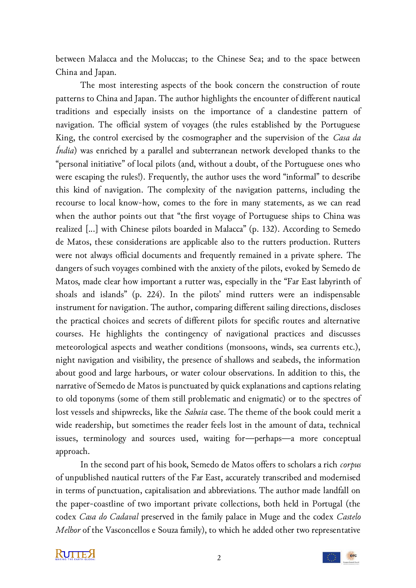between Malacca and the Moluccas; to the Chinese Sea; and to the space between China and Japan.

The most interesting aspects of the book concern the construction of route patterns to China and Japan. The author highlights the encounter of different nautical traditions and especially insists on the importance of a clandestine pattern of navigation. The official system of voyages (the rules established by the Portuguese King, the control exercised by the cosmographer and the supervision of the *Casa da Índia*) was enriched by a parallel and subterranean network developed thanks to the "personal initiative" of local pilots (and, without a doubt, of the Portuguese ones who were escaping the rules!). Frequently, the author uses the word "informal" to describe this kind of navigation. The complexity of the navigation patterns, including the recourse to local know-how, comes to the fore in many statements, as we can read when the author points out that "the first voyage of Portuguese ships to China was realized [...] with Chinese pilots boarded in Malacca" (p. 132). According to Semedo de Matos, these considerations are applicable also to the rutters production. Rutters were not always official documents and frequently remained in a private sphere. The dangers of such voyages combined with the anxiety of the pilots, evoked by Semedo de Matos, made clear how important a rutter was, especially in the "Far East labyrinth of shoals and islands" (p. 224). In the pilots' mind rutters were an indispensable instrument for navigation. The author, comparing different sailing directions, discloses the practical choices and secrets of different pilots for specific routes and alternative courses. He highlights the contingency of navigational practices and discusses meteorological aspects and weather conditions (monsoons, winds, sea currents etc.), night navigation and visibility, the presence of shallows and seabeds, the information about good and large harbours, or water colour observations. In addition to this, the narrative of Semedo de Matos is punctuated by quick explanations and captions relating to old toponyms (some of them still problematic and enigmatic) or to the spectres of lost vessels and shipwrecks, like the *Sabaia* case. The theme of the book could merit a wide readership, but sometimes the reader feels lost in the amount of data, technical issues, terminology and sources used, waiting for—perhaps—a more conceptual approach.

In the second part of his book, Semedo de Matos offers to scholars a rich *corpus*  of unpublished nautical rutters of the Far East, accurately transcribed and modernised in terms of punctuation, capitalisation and abbreviations. The author made landfall on the paper-coastline of two important private collections, both held in Portugal (the codex *Casa do Cadaval* preserved in the family palace in Muge and the codex *Castelo Melhor* of the Vasconcellos e Souza family), to which he added other two representative